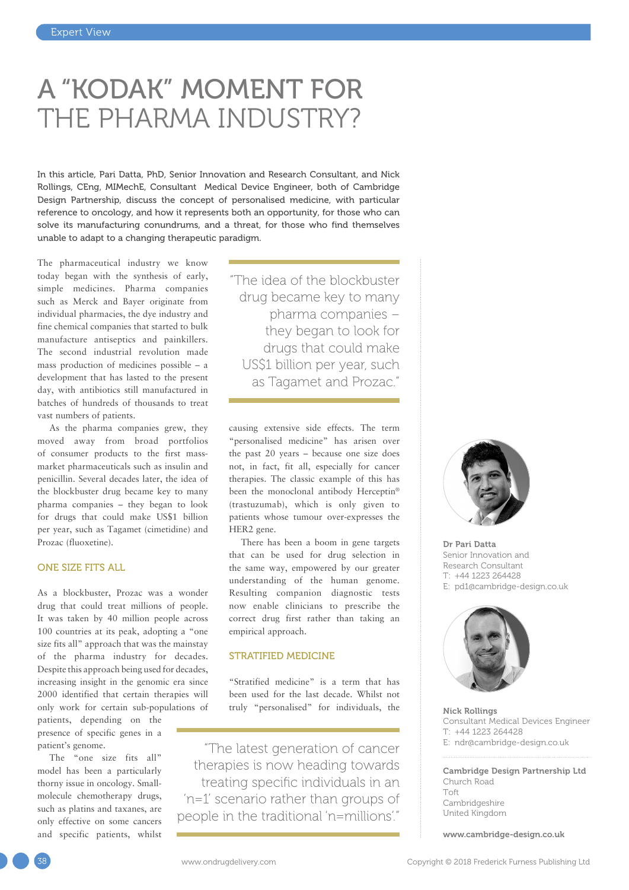## A "KODAK" MOMENT FOR THE PHARMA INDUSTRY?

In this article, Pari Datta, PhD, Senior Innovation and Research Consultant, and Nick Rollings, CEng, MIMechE, Consultant Medical Device Engineer, both of Cambridge Design Partnership, discuss the concept of personalised medicine, with particular reference to oncology, and how it represents both an opportunity, for those who can solve its manufacturing conundrums, and a threat, for those who find themselves unable to adapt to a changing therapeutic paradigm.

The pharmaceutical industry we know today began with the synthesis of early, simple medicines. Pharma companies such as Merck and Bayer originate from individual pharmacies, the dye industry and fine chemical companies that started to bulk manufacture antiseptics and painkillers. The second industrial revolution made mass production of medicines possible – a development that has lasted to the present day, with antibiotics still manufactured in batches of hundreds of thousands to treat vast numbers of patients.

As the pharma companies grew, they moved away from broad portfolios of consumer products to the first massmarket pharmaceuticals such as insulin and penicillin. Several decades later, the idea of the blockbuster drug became key to many pharma companies – they began to look for drugs that could make US\$1 billion per year, such as Tagamet (cimetidine) and Prozac (fluoxetine).

#### ONE SIZE FITS ALL

As a blockbuster, Prozac was a wonder drug that could treat millions of people. It was taken by 40 million people across 100 countries at its peak, adopting a "one size fits all" approach that was the mainstay of the pharma industry for decades. Despite this approach being used for decades, increasing insight in the genomic era since 2000 identified that certain therapies will only work for certain sub-populations of

patients, depending on the presence of specific genes in a patient's genome.

The "one size fits all" model has been a particularly thorny issue in oncology. Smallmolecule chemotherapy drugs, such as platins and taxanes, are only effective on some cancers and specific patients, whilst "The idea of the blockbuster drug became key to many pharma companies – they began to look for drugs that could make US\$1 billion per year, such as Tagamet and Prozac."

causing extensive side effects. The term "personalised medicine" has arisen over the past 20 years – because one size does not, in fact, fit all, especially for cancer therapies. The classic example of this has been the monoclonal antibody Herceptin® (trastuzumab), which is only given to patients whose tumour over-expresses the HER2 gene.

There has been a boom in gene targets that can be used for drug selection in the same way, empowered by our greater understanding of the human genome. Resulting companion diagnostic tests now enable clinicians to prescribe the correct drug first rather than taking an empirical approach.

#### STRATIFIED MEDICINE

"Stratified medicine" is a term that has been used for the last decade. Whilst not truly "personalised" for individuals, the

"The latest generation of cancer therapies is now heading towards treating specific individuals in an 'n=1' scenario rather than groups of people in the traditional 'n=millions'."



Dr Pari Datta Senior Innovation and Research Consultant T: +44 1223 264428 E: [pd1@cambridge-design.co.uk](mailto:pd1@cambridge-design.co.uk)



Nick Rollings Consultant Medical Devices Engineer T: +44 1223 264428 E: [ndr@cambridge-design.co.uk](mailto:ndr@cambridge-design.co.uk)

Cambridge Design Partnership Ltd Church Road Toft Cambridgeshire United Kingdom

[www.cambridge-design.co.uk](http://www.cambridge-design.co.uk)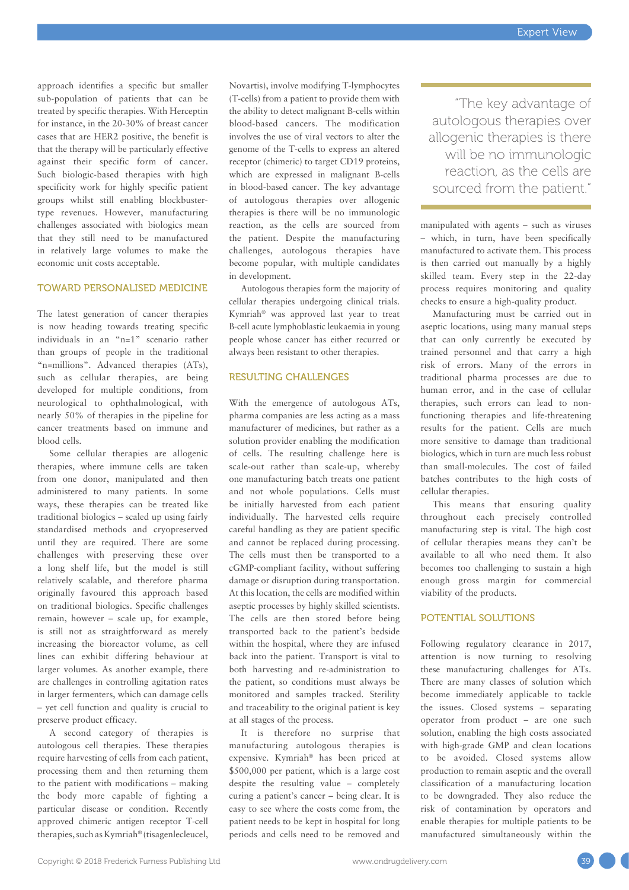approach identifies a specific but smaller sub-population of patients that can be treated by specific therapies. With Herceptin for instance, in the 20-30% of breast cancer cases that are HER2 positive, the benefit is that the therapy will be particularly effective against their specific form of cancer. Such biologic-based therapies with high specificity work for highly specific patient groups whilst still enabling blockbustertype revenues. However, manufacturing challenges associated with biologics mean that they still need to be manufactured in relatively large volumes to make the economic unit costs acceptable.

#### TOWARD PERSONALISED MEDICINE

The latest generation of cancer therapies is now heading towards treating specific individuals in an "n=1" scenario rather than groups of people in the traditional "n=millions". Advanced therapies (ATs), such as cellular therapies, are being developed for multiple conditions, from neurological to ophthalmological, with nearly 50% of therapies in the pipeline for cancer treatments based on immune and blood cells.

Some cellular therapies are allogenic therapies, where immune cells are taken from one donor, manipulated and then administered to many patients. In some ways, these therapies can be treated like traditional biologics – scaled up using fairly standardised methods and cryopreserved until they are required. There are some challenges with preserving these over a long shelf life, but the model is still relatively scalable, and therefore pharma originally favoured this approach based on traditional biologics. Specific challenges remain, however – scale up, for example, is still not as straightforward as merely increasing the bioreactor volume, as cell lines can exhibit differing behaviour at larger volumes. As another example, there are challenges in controlling agitation rates in larger fermenters, which can damage cells – yet cell function and quality is crucial to preserve product efficacy.

A second category of therapies is autologous cell therapies. These therapies require harvesting of cells from each patient, processing them and then returning them to the patient with modifications – making the body more capable of fighting a particular disease or condition. Recently approved chimeric antigen receptor T-cell therapies, such as Kymriah® (tisagenlecleucel, Novartis), involve modifying T-lymphocytes (T-cells) from a patient to provide them with the ability to detect malignant B-cells within blood-based cancers. The modification involves the use of viral vectors to alter the genome of the T-cells to express an altered receptor (chimeric) to target CD19 proteins, which are expressed in malignant B-cells in blood-based cancer. The key advantage of autologous therapies over allogenic therapies is there will be no immunologic reaction, as the cells are sourced from the patient. Despite the manufacturing challenges, autologous therapies have become popular, with multiple candidates in development.

Autologous therapies form the majority of cellular therapies undergoing clinical trials. Kymriah® was approved last year to treat B-cell acute lymphoblastic leukaemia in young people whose cancer has either recurred or always been resistant to other therapies.

#### RESULTING CHALLENGES

With the emergence of autologous ATs, pharma companies are less acting as a mass manufacturer of medicines, but rather as a solution provider enabling the modification of cells. The resulting challenge here is scale-out rather than scale-up, whereby one manufacturing batch treats one patient and not whole populations. Cells must be initially harvested from each patient individually. The harvested cells require careful handling as they are patient specific and cannot be replaced during processing. The cells must then be transported to a cGMP-compliant facility, without suffering damage or disruption during transportation. At this location, the cells are modified within aseptic processes by highly skilled scientists. The cells are then stored before being transported back to the patient's bedside within the hospital, where they are infused back into the patient. Transport is vital to both harvesting and re-administration to the patient, so conditions must always be monitored and samples tracked. Sterility and traceability to the original patient is key at all stages of the process.

It is therefore no surprise that manufacturing autologous therapies is expensive. Kymriah® has been priced at \$500,000 per patient, which is a large cost despite the resulting value – completely curing a patient's cancer – being clear. It is easy to see where the costs come from, the patient needs to be kept in hospital for long periods and cells need to be removed and

"The key advantage of autologous therapies over allogenic therapies is there will be no immunologic reaction, as the cells are sourced from the patient."

manipulated with agents – such as viruses – which, in turn, have been specifically manufactured to activate them. This process is then carried out manually by a highly skilled team. Every step in the 22-day process requires monitoring and quality checks to ensure a high-quality product.

Manufacturing must be carried out in aseptic locations, using many manual steps that can only currently be executed by trained personnel and that carry a high risk of errors. Many of the errors in traditional pharma processes are due to human error, and in the case of cellular therapies, such errors can lead to nonfunctioning therapies and life-threatening results for the patient. Cells are much more sensitive to damage than traditional biologics, which in turn are much less robust than small-molecules. The cost of failed batches contributes to the high costs of cellular therapies.

This means that ensuring quality throughout each precisely controlled manufacturing step is vital. The high cost of cellular therapies means they can't be available to all who need them. It also becomes too challenging to sustain a high enough gross margin for commercial viability of the products.

#### POTENTIAL SOLUTIONS

Following regulatory clearance in 2017, attention is now turning to resolving these manufacturing challenges for ATs. There are many classes of solution which become immediately applicable to tackle the issues. Closed systems – separating operator from product – are one such solution, enabling the high costs associated with high-grade GMP and clean locations to be avoided. Closed systems allow production to remain aseptic and the overall classification of a manufacturing location to be downgraded. They also reduce the risk of contamination by operators and enable therapies for multiple patients to be manufactured simultaneously within the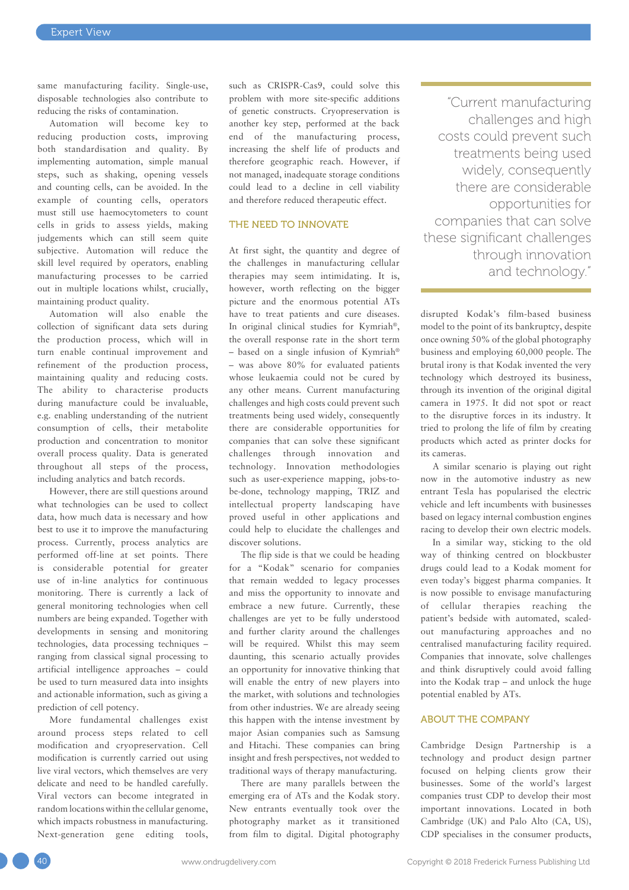same manufacturing facility. Single-use, disposable technologies also contribute to reducing the risks of contamination.

Automation will become key to reducing production costs, improving both standardisation and quality. By implementing automation, simple manual steps, such as shaking, opening vessels and counting cells, can be avoided. In the example of counting cells, operators must still use haemocytometers to count cells in grids to assess yields, making judgements which can still seem quite subjective. Automation will reduce the skill level required by operators, enabling manufacturing processes to be carried out in multiple locations whilst, crucially, maintaining product quality.

Automation will also enable the collection of significant data sets during the production process, which will in turn enable continual improvement and refinement of the production process, maintaining quality and reducing costs. The ability to characterise products during manufacture could be invaluable, e.g. enabling understanding of the nutrient consumption of cells, their metabolite production and concentration to monitor overall process quality. Data is generated throughout all steps of the process, including analytics and batch records.

However, there are still questions around what technologies can be used to collect data, how much data is necessary and how best to use it to improve the manufacturing process. Currently, process analytics are performed off-line at set points. There is considerable potential for greater use of in-line analytics for continuous monitoring. There is currently a lack of general monitoring technologies when cell numbers are being expanded. Together with developments in sensing and monitoring technologies, data processing techniques – ranging from classical signal processing to artificial intelligence approaches – could be used to turn measured data into insights and actionable information, such as giving a prediction of cell potency.

More fundamental challenges exist around process steps related to cell modification and cryopreservation. Cell modification is currently carried out using live viral vectors, which themselves are very delicate and need to be handled carefully. Viral vectors can become integrated in random locations within the cellular genome, which impacts robustness in manufacturing. Next-generation gene editing tools, such as CRISPR-Cas9, could solve this problem with more site-specific additions of genetic constructs. Cryopreservation is another key step, performed at the back end of the manufacturing process, increasing the shelf life of products and therefore geographic reach. However, if not managed, inadequate storage conditions could lead to a decline in cell viability and therefore reduced therapeutic effect.

#### THE NEED TO INNOVATE

At first sight, the quantity and degree of the challenges in manufacturing cellular therapies may seem intimidating. It is, however, worth reflecting on the bigger picture and the enormous potential ATs have to treat patients and cure diseases. In original clinical studies for Kymriah®, the overall response rate in the short term – based on a single infusion of Kymriah® – was above 80% for evaluated patients whose leukaemia could not be cured by any other means. Current manufacturing challenges and high costs could prevent such treatments being used widely, consequently there are considerable opportunities for companies that can solve these significant challenges through innovation and technology. Innovation methodologies such as user-experience mapping, jobs-tobe-done, technology mapping, TRIZ and intellectual property landscaping have proved useful in other applications and could help to elucidate the challenges and discover solutions.

The flip side is that we could be heading for a "Kodak" scenario for companies that remain wedded to legacy processes and miss the opportunity to innovate and embrace a new future. Currently, these challenges are yet to be fully understood and further clarity around the challenges will be required. Whilst this may seem daunting, this scenario actually provides an opportunity for innovative thinking that will enable the entry of new players into the market, with solutions and technologies from other industries. We are already seeing this happen with the intense investment by major Asian companies such as Samsung and Hitachi. These companies can bring insight and fresh perspectives, not wedded to traditional ways of therapy manufacturing.

There are many parallels between the emerging era of ATs and the Kodak story. New entrants eventually took over the photography market as it transitioned from film to digital. Digital photography

"Current manufacturing challenges and high costs could prevent such treatments being used widely, consequently there are considerable opportunities for companies that can solve these significant challenges through innovation and technology."

disrupted Kodak's film-based business model to the point of its bankruptcy, despite once owning 50% of the global photography business and employing 60,000 people. The brutal irony is that Kodak invented the very technology which destroyed its business, through its invention of the original digital camera in 1975. It did not spot or react to the disruptive forces in its industry. It tried to prolong the life of film by creating products which acted as printer docks for its cameras.

A similar scenario is playing out right now in the automotive industry as new entrant Tesla has popularised the electric vehicle and left incumbents with businesses based on legacy internal combustion engines racing to develop their own electric models.

In a similar way, sticking to the old way of thinking centred on blockbuster drugs could lead to a Kodak moment for even today's biggest pharma companies. It is now possible to envisage manufacturing of cellular therapies reaching the patient's bedside with automated, scaledout manufacturing approaches and no centralised manufacturing facility required. Companies that innovate, solve challenges and think disruptively could avoid falling into the Kodak trap – and unlock the huge potential enabled by ATs.

#### ABOUT THE COMPANY

Cambridge Design Partnership is a technology and product design partner focused on helping clients grow their businesses. Some of the world's largest companies trust CDP to develop their most important innovations. Located in both Cambridge (UK) and Palo Alto (CA, US), CDP specialises in the consumer products,